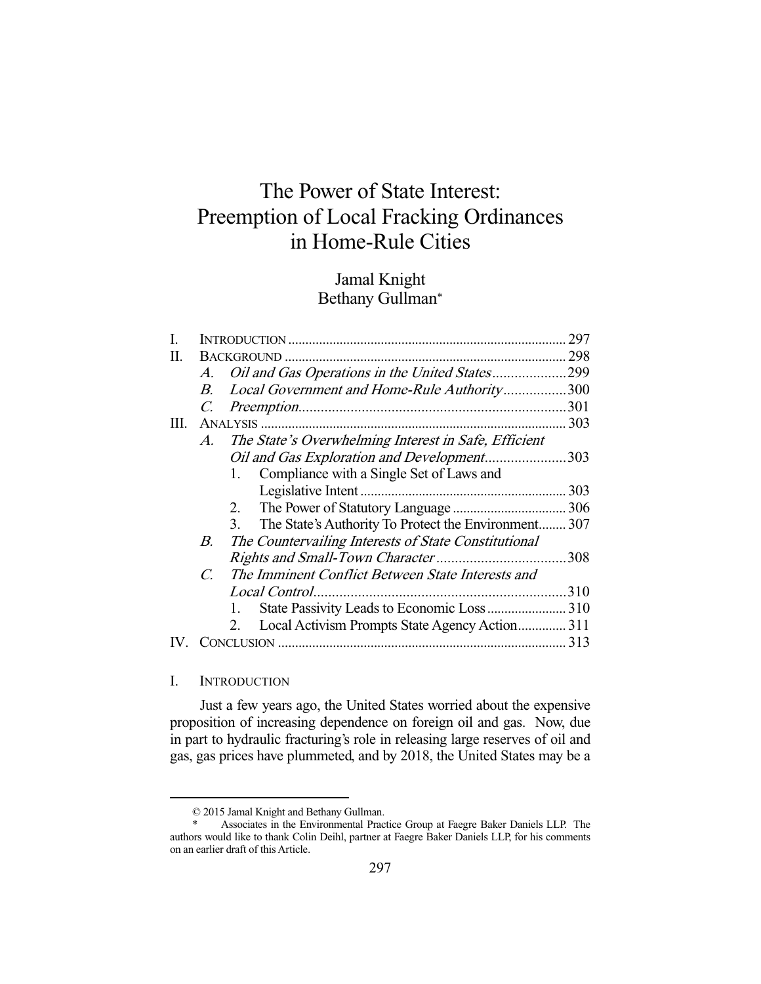# The Power of State Interest: Preemption of Local Fracking Ordinances in Home-Rule Cities

# Jamal Knight Bethany Gullman\*

| I. |                |                                                                 | 297  |
|----|----------------|-----------------------------------------------------------------|------|
| П. |                |                                                                 | 298  |
|    | A.             | Oil and Gas Operations in the United States299                  |      |
|    | В.             | Local Government and Home-Rule Authority300                     |      |
|    |                |                                                                 | .301 |
| Ш. |                |                                                                 | 303  |
|    | A.             | The State's Overwhelming Interest in Safe, Efficient            |      |
|    |                | Oil and Gas Exploration and Development303                      |      |
|    |                | Compliance with a Single Set of Laws and<br>1.                  |      |
|    |                |                                                                 | 303  |
|    |                | 2.                                                              |      |
|    |                | The State's Authority To Protect the Environment 307<br>$3_{-}$ |      |
|    | В.             | The Countervailing Interests of State Constitutional            |      |
|    |                |                                                                 | 308  |
|    | $\overline{C}$ | The Imminent Conflict Between State Interests and               |      |
|    |                | Local Control                                                   | 310  |
|    |                |                                                                 |      |
|    |                | Local Activism Prompts State Agency Action 311<br>2.            |      |
|    |                |                                                                 | 313  |
|    |                |                                                                 |      |

I. INTRODUCTION

-

 Just a few years ago, the United States worried about the expensive proposition of increasing dependence on foreign oil and gas. Now, due in part to hydraulic fracturing's role in releasing large reserves of oil and gas, gas prices have plummeted, and by 2018, the United States may be a

 <sup>© 2015</sup> Jamal Knight and Bethany Gullman.

 <sup>\*</sup> Associates in the Environmental Practice Group at Faegre Baker Daniels LLP. The authors would like to thank Colin Deihl, partner at Faegre Baker Daniels LLP, for his comments on an earlier draft of this Article.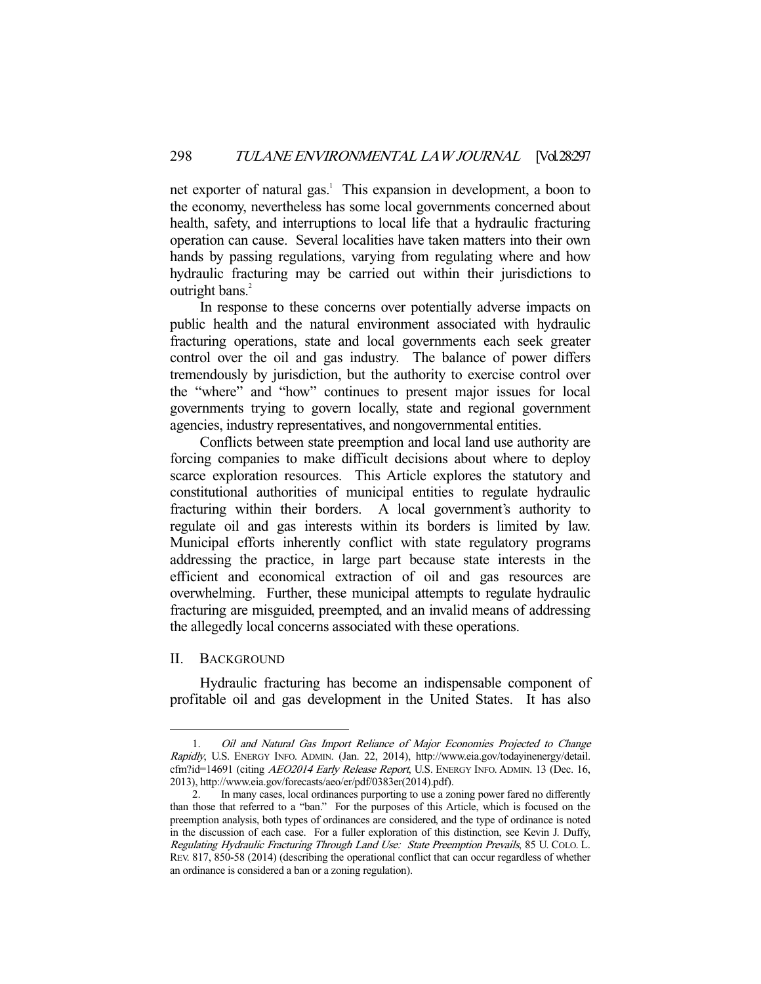net exporter of natural gas.<sup>1</sup> This expansion in development, a boon to the economy, nevertheless has some local governments concerned about health, safety, and interruptions to local life that a hydraulic fracturing operation can cause. Several localities have taken matters into their own hands by passing regulations, varying from regulating where and how hydraulic fracturing may be carried out within their jurisdictions to outright bans.<sup>2</sup>

 In response to these concerns over potentially adverse impacts on public health and the natural environment associated with hydraulic fracturing operations, state and local governments each seek greater control over the oil and gas industry. The balance of power differs tremendously by jurisdiction, but the authority to exercise control over the "where" and "how" continues to present major issues for local governments trying to govern locally, state and regional government agencies, industry representatives, and nongovernmental entities.

 Conflicts between state preemption and local land use authority are forcing companies to make difficult decisions about where to deploy scarce exploration resources. This Article explores the statutory and constitutional authorities of municipal entities to regulate hydraulic fracturing within their borders. A local government's authority to regulate oil and gas interests within its borders is limited by law. Municipal efforts inherently conflict with state regulatory programs addressing the practice, in large part because state interests in the efficient and economical extraction of oil and gas resources are overwhelming. Further, these municipal attempts to regulate hydraulic fracturing are misguided, preempted, and an invalid means of addressing the allegedly local concerns associated with these operations.

#### II. BACKGROUND

-

 Hydraulic fracturing has become an indispensable component of profitable oil and gas development in the United States. It has also

 <sup>1.</sup> Oil and Natural Gas Import Reliance of Major Economies Projected to Change Rapidly, U.S. ENERGY INFO. ADMIN. (Jan. 22, 2014), http://www.eia.gov/todayinenergy/detail. cfm?id=14691 (citing AEO2014 Early Release Report, U.S. ENERGY INFO. ADMIN. 13 (Dec. 16, 2013), http://www.eia.gov/forecasts/aeo/er/pdf/0383er(2014).pdf).

 <sup>2.</sup> In many cases, local ordinances purporting to use a zoning power fared no differently than those that referred to a "ban." For the purposes of this Article, which is focused on the preemption analysis, both types of ordinances are considered, and the type of ordinance is noted in the discussion of each case. For a fuller exploration of this distinction, see Kevin J. Duffy, Regulating Hydraulic Fracturing Through Land Use: State Preemption Prevails, 85 U. COLO. L. REV. 817, 850-58 (2014) (describing the operational conflict that can occur regardless of whether an ordinance is considered a ban or a zoning regulation).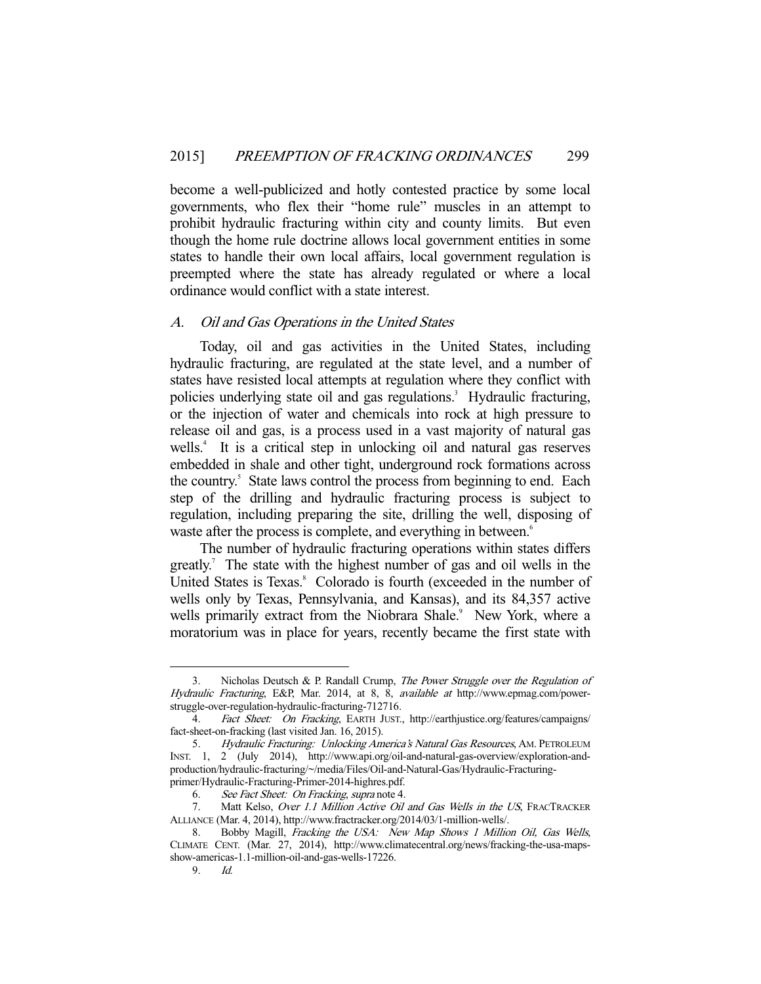become a well-publicized and hotly contested practice by some local governments, who flex their "home rule" muscles in an attempt to prohibit hydraulic fracturing within city and county limits. But even though the home rule doctrine allows local government entities in some states to handle their own local affairs, local government regulation is preempted where the state has already regulated or where a local ordinance would conflict with a state interest.

#### A. Oil and Gas Operations in the United States

 Today, oil and gas activities in the United States, including hydraulic fracturing, are regulated at the state level, and a number of states have resisted local attempts at regulation where they conflict with policies underlying state oil and gas regulations.<sup>3</sup> Hydraulic fracturing, or the injection of water and chemicals into rock at high pressure to release oil and gas, is a process used in a vast majority of natural gas wells.<sup>4</sup> It is a critical step in unlocking oil and natural gas reserves embedded in shale and other tight, underground rock formations across the country.<sup>5</sup> State laws control the process from beginning to end. Each step of the drilling and hydraulic fracturing process is subject to regulation, including preparing the site, drilling the well, disposing of waste after the process is complete, and everything in between.<sup>6</sup>

 The number of hydraulic fracturing operations within states differs greatly.<sup>7</sup> The state with the highest number of gas and oil wells in the United States is Texas.<sup>8</sup> Colorado is fourth (exceeded in the number of wells only by Texas, Pennsylvania, and Kansas), and its 84,357 active wells primarily extract from the Niobrara Shale.<sup>9</sup> New York, where a moratorium was in place for years, recently became the first state with

Nicholas Deutsch & P. Randall Crump, The Power Struggle over the Regulation of Hydraulic Fracturing, E&P, Mar. 2014, at 8, 8, available at http://www.epmag.com/powerstruggle-over-regulation-hydraulic-fracturing-712716.

<sup>4.</sup> Fact Sheet: On Fracking, EARTH JUST., http://earthjustice.org/features/campaigns/ fact-sheet-on-fracking (last visited Jan. 16, 2015).

<sup>5.</sup> Hydraulic Fracturing: Unlocking America's Natural Gas Resources, AM. PETROLEUM INST. 1, 2 (July 2014), http://www.api.org/oil-and-natural-gas-overview/exploration-andproduction/hydraulic-fracturing/~/media/Files/Oil-and-Natural-Gas/Hydraulic-Fracturingprimer/Hydraulic-Fracturing-Primer-2014-highres.pdf.

 <sup>6.</sup> See Fact Sheet: On Fracking, supra note 4.

<sup>7.</sup> Matt Kelso, Over 1.1 Million Active Oil and Gas Wells in the US, FRACTRACKER ALLIANCE (Mar. 4, 2014), http://www.fractracker.org/2014/03/1-million-wells/.

<sup>8.</sup> Bobby Magill, Fracking the USA: New Map Shows 1 Million Oil, Gas Wells, CLIMATE CENT. (Mar. 27, 2014), http://www.climatecentral.org/news/fracking-the-usa-mapsshow-americas-1.1-million-oil-and-gas-wells-17226.<br>9. Id.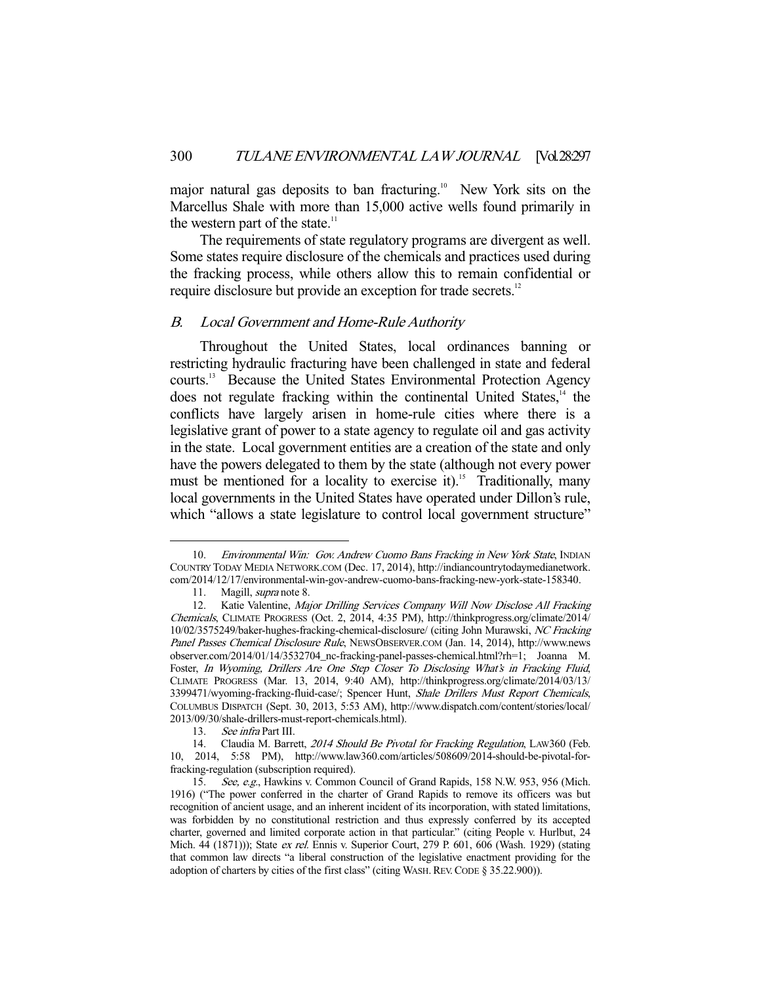major natural gas deposits to ban fracturing.<sup>10</sup> New York sits on the Marcellus Shale with more than 15,000 active wells found primarily in the western part of the state. $11$ 

 The requirements of state regulatory programs are divergent as well. Some states require disclosure of the chemicals and practices used during the fracking process, while others allow this to remain confidential or require disclosure but provide an exception for trade secrets.<sup>12</sup>

#### B. Local Government and Home-Rule Authority

 Throughout the United States, local ordinances banning or restricting hydraulic fracturing have been challenged in state and federal courts.13 Because the United States Environmental Protection Agency does not regulate fracking within the continental United States,<sup>14</sup> the conflicts have largely arisen in home-rule cities where there is a legislative grant of power to a state agency to regulate oil and gas activity in the state. Local government entities are a creation of the state and only have the powers delegated to them by the state (although not every power must be mentioned for a locality to exercise it).<sup>15</sup> Traditionally, many local governments in the United States have operated under Dillon's rule, which "allows a state legislature to control local government structure"

<sup>10.</sup> Environmental Win: Gov. Andrew Cuomo Bans Fracking in New York State, INDIAN COUNTRY TODAY MEDIA NETWORK.COM (Dec. 17, 2014), http://indiancountrytodaymedianetwork. com/2014/12/17/environmental-win-gov-andrew-cuomo-bans-fracking-new-york-state-158340.

<sup>11.</sup> Magill, *supra* note 8.

<sup>12.</sup> Katie Valentine, Major Drilling Services Company Will Now Disclose All Fracking Chemicals, CLIMATE PROGRESS (Oct. 2, 2014, 4:35 PM), http://thinkprogress.org/climate/2014/ 10/02/3575249/baker-hughes-fracking-chemical-disclosure/ (citing John Murawski, NC Fracking Panel Passes Chemical Disclosure Rule, NEWSOBSERVER.COM (Jan. 14, 2014), http://www.news observer.com/2014/01/14/3532704\_nc-fracking-panel-passes-chemical.html?rh=1; Joanna M. Foster, In Wyoming, Drillers Are One Step Closer To Disclosing What's in Fracking Fluid, CLIMATE PROGRESS (Mar. 13, 2014, 9:40 AM), http://thinkprogress.org/climate/2014/03/13/ 3399471/wyoming-fracking-fluid-case/; Spencer Hunt, Shale Drillers Must Report Chemicals, COLUMBUS DISPATCH (Sept. 30, 2013, 5:53 AM), http://www.dispatch.com/content/stories/local/ 2013/09/30/shale-drillers-must-report-chemicals.html).

 <sup>13.</sup> See infra Part III.

<sup>14.</sup> Claudia M. Barrett, 2014 Should Be Pivotal for Fracking Regulation, LAW360 (Feb. 10, 2014, 5:58 PM), http://www.law360.com/articles/508609/2014-should-be-pivotal-forfracking-regulation (subscription required).

<sup>15.</sup> See, e.g., Hawkins v. Common Council of Grand Rapids, 158 N.W. 953, 956 (Mich. 1916) ("The power conferred in the charter of Grand Rapids to remove its officers was but recognition of ancient usage, and an inherent incident of its incorporation, with stated limitations, was forbidden by no constitutional restriction and thus expressly conferred by its accepted charter, governed and limited corporate action in that particular." (citing People v. Hurlbut, 24 Mich. 44 (1871))); State ex rel. Ennis v. Superior Court, 279 P. 601, 606 (Wash. 1929) (stating that common law directs "a liberal construction of the legislative enactment providing for the adoption of charters by cities of the first class" (citing WASH.REV.CODE § 35.22.900)).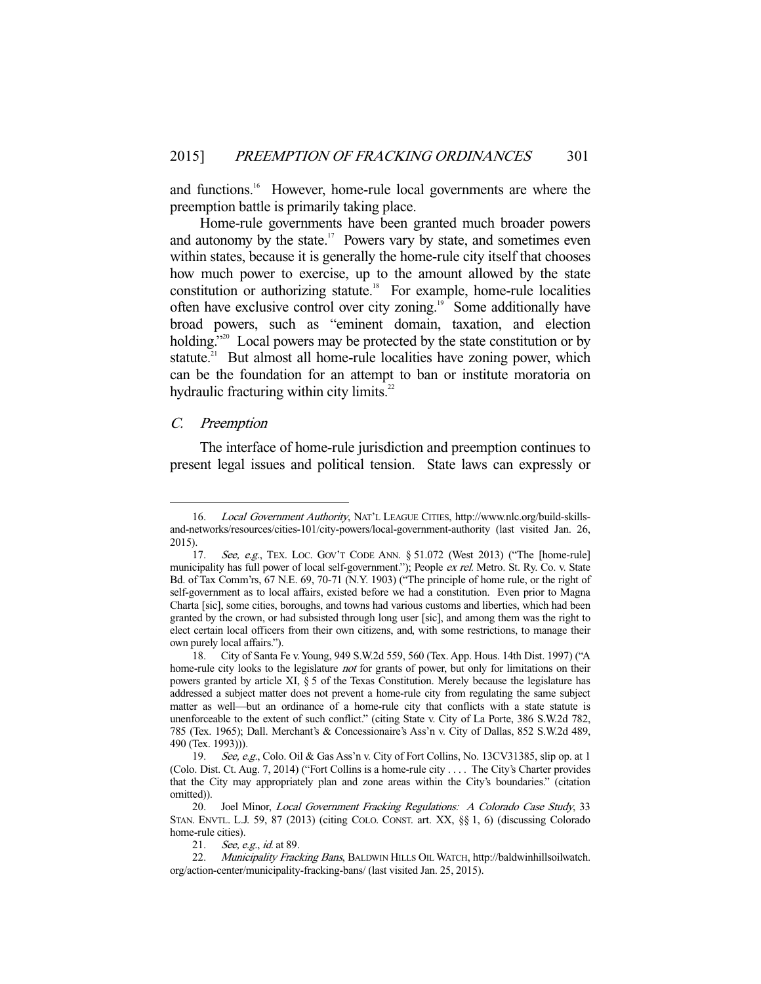and functions.<sup>16</sup> However, home-rule local governments are where the preemption battle is primarily taking place.

 Home-rule governments have been granted much broader powers and autonomy by the state.<sup>17</sup> Powers vary by state, and sometimes even within states, because it is generally the home-rule city itself that chooses how much power to exercise, up to the amount allowed by the state constitution or authorizing statute.<sup>18</sup> For example, home-rule localities often have exclusive control over city zoning.<sup>19</sup> Some additionally have broad powers, such as "eminent domain, taxation, and election holding."<sup>20</sup> Local powers may be protected by the state constitution or by statute.<sup>21</sup> But almost all home-rule localities have zoning power, which can be the foundation for an attempt to ban or institute moratoria on hydraulic fracturing within city limits. $22$ 

#### C. Preemption

-

 The interface of home-rule jurisdiction and preemption continues to present legal issues and political tension. State laws can expressly or

 <sup>16.</sup> Local Government Authority, NAT'L LEAGUE CITIES, http://www.nlc.org/build-skillsand-networks/resources/cities-101/city-powers/local-government-authority (last visited Jan. 26, 2015).

<sup>17.</sup> See, e.g., TEX. LOC. GOV'T CODE ANN. § 51.072 (West 2013) ("The [home-rule] municipality has full power of local self-government."); People ex rel. Metro. St. Ry. Co. v. State Bd. of Tax Comm'rs, 67 N.E. 69, 70-71 (N.Y. 1903) ("The principle of home rule, or the right of self-government as to local affairs, existed before we had a constitution. Even prior to Magna Charta [sic], some cities, boroughs, and towns had various customs and liberties, which had been granted by the crown, or had subsisted through long user [sic], and among them was the right to elect certain local officers from their own citizens, and, with some restrictions, to manage their own purely local affairs.").

 <sup>18.</sup> City of Santa Fe v. Young, 949 S.W.2d 559, 560 (Tex. App. Hous. 14th Dist. 1997) ("A home-rule city looks to the legislature *not* for grants of power, but only for limitations on their powers granted by article XI, § 5 of the Texas Constitution. Merely because the legislature has addressed a subject matter does not prevent a home-rule city from regulating the same subject matter as well—but an ordinance of a home-rule city that conflicts with a state statute is unenforceable to the extent of such conflict." (citing State v. City of La Porte, 386 S.W.2d 782, 785 (Tex. 1965); Dall. Merchant's & Concessionaire's Ass'n v. City of Dallas, 852 S.W.2d 489, 490 (Tex. 1993))).

<sup>19.</sup> See, e.g., Colo. Oil & Gas Ass'n v. City of Fort Collins, No. 13CV31385, slip op. at 1 (Colo. Dist. Ct. Aug. 7, 2014) ("Fort Collins is a home-rule city . . . . The City's Charter provides that the City may appropriately plan and zone areas within the City's boundaries." (citation omitted)).

<sup>20.</sup> Joel Minor, Local Government Fracking Regulations: A Colorado Case Study, 33 STAN. ENVTL. L.J. 59, 87 (2013) (citing COLO. CONST. art. XX, §§ 1, 6) (discussing Colorado home-rule cities).

<sup>21.</sup> *See, e.g., id.* at 89.

<sup>22.</sup> Municipality Fracking Bans, BALDWIN HILLS OIL WATCH, http://baldwinhillsoilwatch. org/action-center/municipality-fracking-bans/ (last visited Jan. 25, 2015).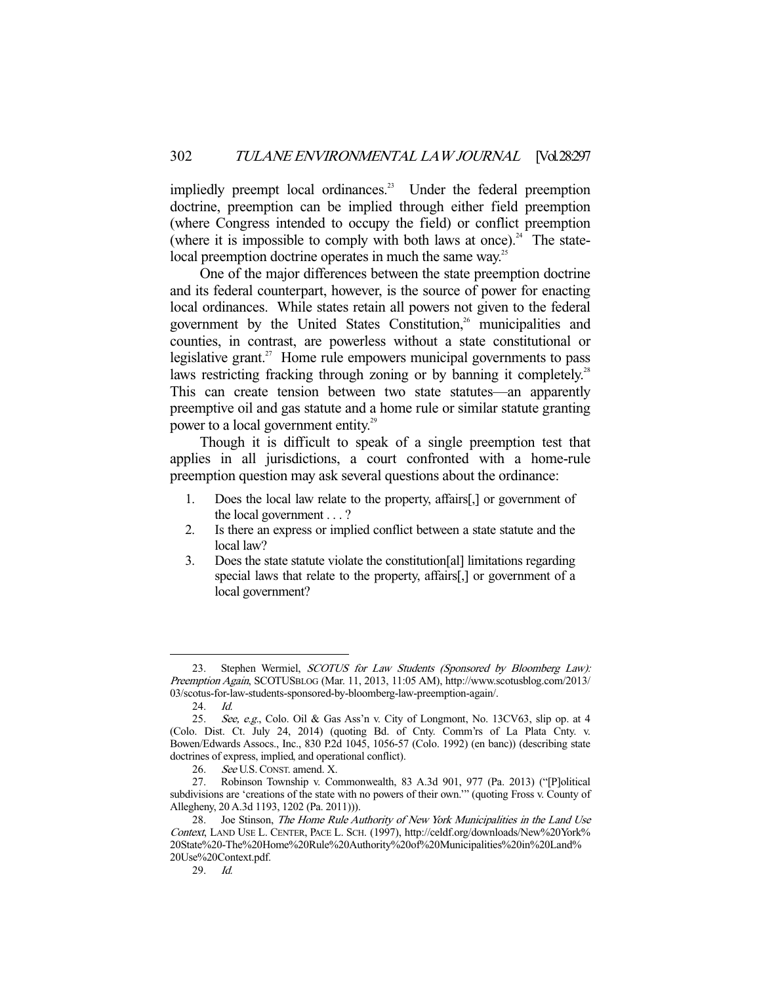impliedly preempt local ordinances.<sup>23</sup> Under the federal preemption doctrine, preemption can be implied through either field preemption (where Congress intended to occupy the field) or conflict preemption (where it is impossible to comply with both laws at once).<sup>24</sup> The statelocal preemption doctrine operates in much the same way.<sup>25</sup>

 One of the major differences between the state preemption doctrine and its federal counterpart, however, is the source of power for enacting local ordinances. While states retain all powers not given to the federal government by the United States Constitution,<sup>26</sup> municipalities and counties, in contrast, are powerless without a state constitutional or legislative grant.<sup>27</sup> Home rule empowers municipal governments to pass laws restricting fracking through zoning or by banning it completely.<sup>28</sup> This can create tension between two state statutes—an apparently preemptive oil and gas statute and a home rule or similar statute granting power to a local government entity.<sup>29</sup>

 Though it is difficult to speak of a single preemption test that applies in all jurisdictions, a court confronted with a home-rule preemption question may ask several questions about the ordinance:

- 1. Does the local law relate to the property, affairs[,] or government of the local government . . . ?
- 2. Is there an express or implied conflict between a state statute and the local law?
- 3. Does the state statute violate the constitution[al] limitations regarding special laws that relate to the property, affairs[,] or government of a local government?

<sup>23.</sup> Stephen Wermiel, SCOTUS for Law Students (Sponsored by Bloomberg Law): Preemption Again, SCOTUSBLOG (Mar. 11, 2013, 11:05 AM), http://www.scotusblog.com/2013/ 03/scotus-for-law-students-sponsored-by-bloomberg-law-preemption-again/.

<sup>24.</sup> *Id.*<br>25. *Sec* See, e.g., Colo. Oil & Gas Ass'n v. City of Longmont, No. 13CV63, slip op. at 4 (Colo. Dist. Ct. July 24, 2014) (quoting Bd. of Cnty. Comm'rs of La Plata Cnty. v. Bowen/Edwards Assocs., Inc., 830 P.2d 1045, 1056-57 (Colo. 1992) (en banc)) (describing state doctrines of express, implied, and operational conflict).

 <sup>26.</sup> See U.S.CONST. amend. X.

 <sup>27.</sup> Robinson Township v. Commonwealth, 83 A.3d 901, 977 (Pa. 2013) ("[P]olitical subdivisions are 'creations of the state with no powers of their own.'" (quoting Fross v. County of Allegheny, 20 A.3d 1193, 1202 (Pa. 2011))).

<sup>28.</sup> Joe Stinson, The Home Rule Authority of New York Municipalities in the Land Use Context, LAND USE L. CENTER, PACE L. SCH. (1997), http://celdf.org/downloads/New%20York% 20State%20-The%20Home%20Rule%20Authority%20of%20Municipalities%20in%20Land% 20Use%20Context.pdf.

 <sup>29.</sup> Id.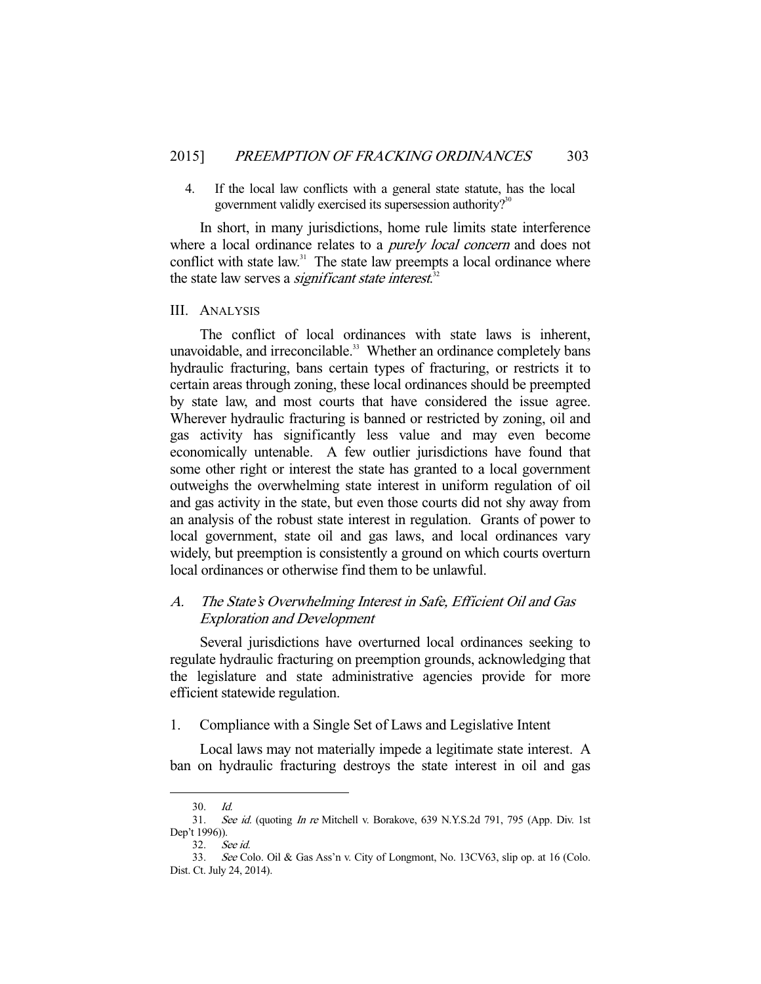4. If the local law conflicts with a general state statute, has the local government validly exercised its supersession authority? $3^{30}$ 

 In short, in many jurisdictions, home rule limits state interference where a local ordinance relates to a *purely local concern* and does not conflict with state law.<sup>31</sup> The state law preempts a local ordinance where the state law serves a *significant state interest*.<sup>32</sup>

#### III. ANALYSIS

 The conflict of local ordinances with state laws is inherent, unavoidable, and irreconcilable.<sup>33</sup> Whether an ordinance completely bans hydraulic fracturing, bans certain types of fracturing, or restricts it to certain areas through zoning, these local ordinances should be preempted by state law, and most courts that have considered the issue agree. Wherever hydraulic fracturing is banned or restricted by zoning, oil and gas activity has significantly less value and may even become economically untenable. A few outlier jurisdictions have found that some other right or interest the state has granted to a local government outweighs the overwhelming state interest in uniform regulation of oil and gas activity in the state, but even those courts did not shy away from an analysis of the robust state interest in regulation. Grants of power to local government, state oil and gas laws, and local ordinances vary widely, but preemption is consistently a ground on which courts overturn local ordinances or otherwise find them to be unlawful.

## A. The State's Overwhelming Interest in Safe, Efficient Oil and Gas Exploration and Development

 Several jurisdictions have overturned local ordinances seeking to regulate hydraulic fracturing on preemption grounds, acknowledging that the legislature and state administrative agencies provide for more efficient statewide regulation.

1. Compliance with a Single Set of Laws and Legislative Intent

 Local laws may not materially impede a legitimate state interest. A ban on hydraulic fracturing destroys the state interest in oil and gas

 <sup>30.</sup> Id.

<sup>31.</sup> See id. (quoting In re Mitchell v. Borakove, 639 N.Y.S.2d 791, 795 (App. Div. 1st Dep't 1996)).

 <sup>32.</sup> See id.

 <sup>33.</sup> See Colo. Oil & Gas Ass'n v. City of Longmont, No. 13CV63, slip op. at 16 (Colo. Dist. Ct. July 24, 2014).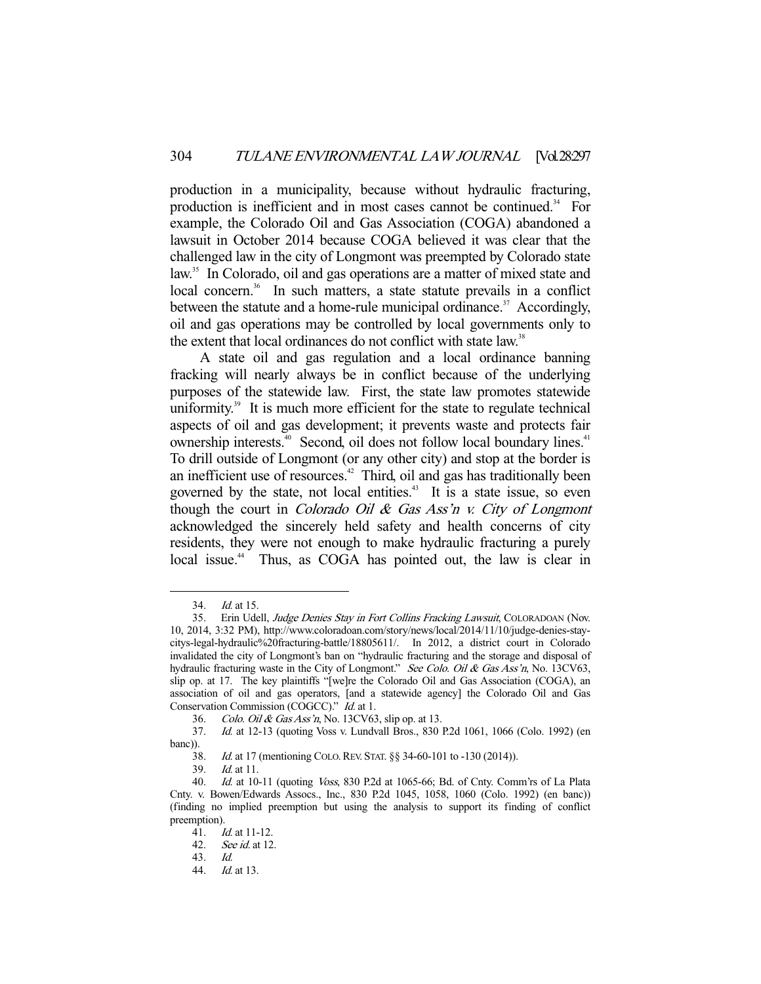production in a municipality, because without hydraulic fracturing, production is inefficient and in most cases cannot be continued.<sup>34</sup> For example, the Colorado Oil and Gas Association (COGA) abandoned a lawsuit in October 2014 because COGA believed it was clear that the challenged law in the city of Longmont was preempted by Colorado state law.<sup>35</sup> In Colorado, oil and gas operations are a matter of mixed state and local concern.<sup>36</sup> In such matters, a state statute prevails in a conflict between the statute and a home-rule municipal ordinance.<sup>37</sup> Accordingly, oil and gas operations may be controlled by local governments only to the extent that local ordinances do not conflict with state law.<sup>38</sup>

 A state oil and gas regulation and a local ordinance banning fracking will nearly always be in conflict because of the underlying purposes of the statewide law. First, the state law promotes statewide uniformity.<sup>39</sup> It is much more efficient for the state to regulate technical aspects of oil and gas development; it prevents waste and protects fair ownership interests.<sup>40</sup> Second, oil does not follow local boundary lines.<sup>41</sup> To drill outside of Longmont (or any other city) and stop at the border is an inefficient use of resources.<sup>42</sup> Third, oil and gas has traditionally been governed by the state, not local entities.<sup>43</sup> It is a state issue, so even though the court in *Colorado Oil & Gas Ass'n v. City of Longmont* acknowledged the sincerely held safety and health concerns of city residents, they were not enough to make hydraulic fracturing a purely local issue.<sup>44</sup> Thus, as COGA has pointed out, the law is clear in

 <sup>34.</sup> Id. at 15.

<sup>35.</sup> Erin Udell, Judge Denies Stay in Fort Collins Fracking Lawsuit, COLORADOAN (Nov. 10, 2014, 3:32 PM), http://www.coloradoan.com/story/news/local/2014/11/10/judge-denies-staycitys-legal-hydraulic%20fracturing-battle/18805611/. In 2012, a district court in Colorado invalidated the city of Longmont's ban on "hydraulic fracturing and the storage and disposal of hydraulic fracturing waste in the City of Longmont." See Colo. Oil & Gas Ass'n, No. 13CV63, slip op. at 17. The key plaintiffs "[we]re the Colorado Oil and Gas Association (COGA), an association of oil and gas operators, [and a statewide agency] the Colorado Oil and Gas Conservation Commission (COGCC)." Id. at 1.

 <sup>36.</sup> Colo. Oil & Gas Ass'n, No. 13CV63, slip op. at 13.

 <sup>37.</sup> Id. at 12-13 (quoting Voss v. Lundvall Bros., 830 P.2d 1061, 1066 (Colo. 1992) (en banc)).

<sup>38.</sup> *Id.* at 17 (mentioning COLO. REV. STAT. §§ 34-60-101 to -130 (2014)).<br>39. *Id.* at 11.

 $Id.$  at 11.

 <sup>40.</sup> Id. at 10-11 (quoting Voss, 830 P.2d at 1065-66; Bd. of Cnty. Comm'rs of La Plata Cnty. v. Bowen/Edwards Assocs., Inc., 830 P.2d 1045, 1058, 1060 (Colo. 1992) (en banc)) (finding no implied preemption but using the analysis to support its finding of conflict preemption).

 <sup>41.</sup> Id. at 11-12.

 <sup>42.</sup> See id. at 12.

 <sup>43.</sup> Id.

 <sup>44.</sup> Id. at 13.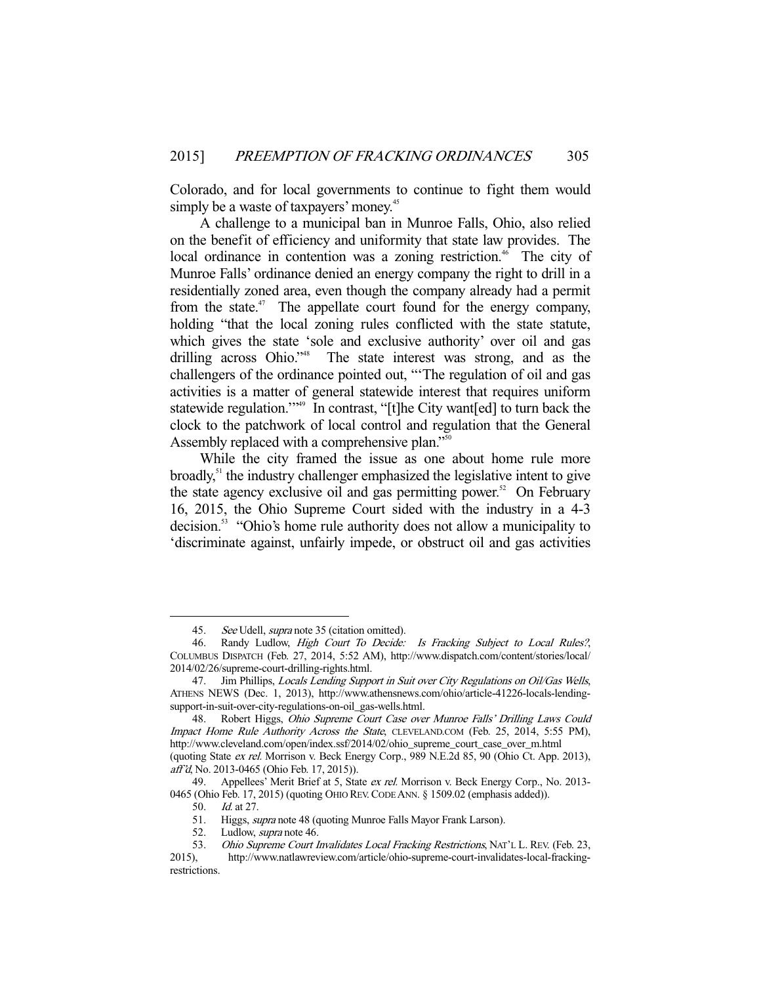Colorado, and for local governments to continue to fight them would simply be a waste of taxpayers' money.<sup>45</sup>

 A challenge to a municipal ban in Munroe Falls, Ohio, also relied on the benefit of efficiency and uniformity that state law provides. The local ordinance in contention was a zoning restriction.<sup>46</sup> The city of Munroe Falls' ordinance denied an energy company the right to drill in a residentially zoned area, even though the company already had a permit from the state.<sup>47</sup> The appellate court found for the energy company, holding "that the local zoning rules conflicted with the state statute, which gives the state 'sole and exclusive authority' over oil and gas drilling across Ohio."<sup>48</sup> The state interest was strong, and as the challengers of the ordinance pointed out, "'The regulation of oil and gas activities is a matter of general statewide interest that requires uniform statewide regulation."<sup>49</sup> In contrast, "[t]he City want[ed] to turn back the clock to the patchwork of local control and regulation that the General Assembly replaced with a comprehensive plan."<sup>50</sup>

 While the city framed the issue as one about home rule more broadly, $51$  the industry challenger emphasized the legislative intent to give the state agency exclusive oil and gas permitting power.<sup>52</sup> On February 16, 2015, the Ohio Supreme Court sided with the industry in a 4-3 decision.<sup>53</sup> "Ohio's home rule authority does not allow a municipality to 'discriminate against, unfairly impede, or obstruct oil and gas activities

<sup>45.</sup> See Udell, supra note 35 (citation omitted).<br>46. Randy Ludlow, *High Court To Decide*:

Randy Ludlow, High Court To Decide: Is Fracking Subject to Local Rules?, COLUMBUS DISPATCH (Feb. 27, 2014, 5:52 AM), http://www.dispatch.com/content/stories/local/ 2014/02/26/supreme-court-drilling-rights.html.

<sup>47.</sup> Jim Phillips, Locals Lending Support in Suit over City Regulations on Oil/Gas Wells, ATHENS NEWS (Dec. 1, 2013), http://www.athensnews.com/ohio/article-41226-locals-lendingsupport-in-suit-over-city-regulations-on-oil\_gas-wells.html.

<sup>48.</sup> Robert Higgs, Ohio Supreme Court Case over Munroe Falls' Drilling Laws Could Impact Home Rule Authority Across the State, CLEVELAND.COM (Feb. 25, 2014, 5:55 PM), http://www.cleveland.com/open/index.ssf/2014/02/ohio\_supreme\_court\_case\_over\_m.html (quoting State ex rel. Morrison v. Beck Energy Corp., 989 N.E.2d 85, 90 (Ohio Ct. App. 2013), aff'd, No. 2013-0465 (Ohio Feb. 17, 2015)).

<sup>49.</sup> Appellees' Merit Brief at 5, State ex rel. Morrison v. Beck Energy Corp., No. 2013-0465 (Ohio Feb. 17, 2015) (quoting OHIO REV.CODE ANN. § 1509.02 (emphasis added)).

 <sup>50.</sup> Id. at 27.

 <sup>51.</sup> Higgs, supra note 48 (quoting Munroe Falls Mayor Frank Larson).

<sup>52.</sup> Ludlow, *supra* note 46.

<sup>53.</sup> Ohio Supreme Court Invalidates Local Fracking Restrictions, NAT'L L. REV. (Feb. 23, 2015), http://www.natlawreview.com/article/ohio-supreme-court-invalidates-local-frackingrestrictions.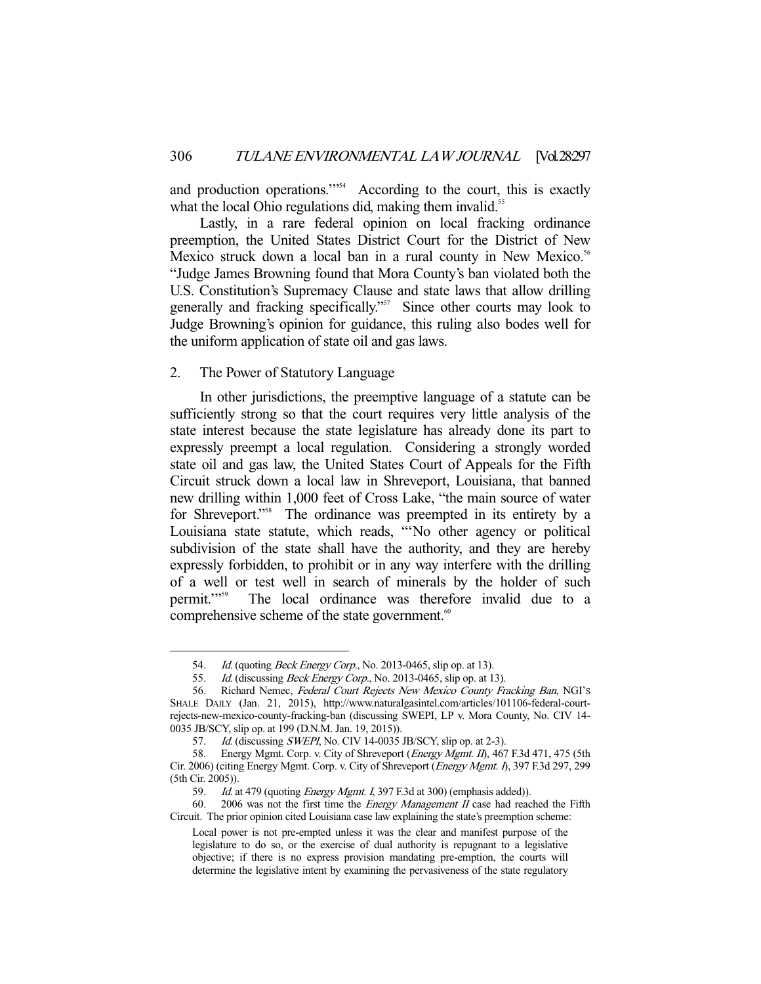and production operations."<sup>554</sup> According to the court, this is exactly what the local Ohio regulations did, making them invalid.<sup>55</sup>

 Lastly, in a rare federal opinion on local fracking ordinance preemption, the United States District Court for the District of New Mexico struck down a local ban in a rural county in New Mexico.<sup>56</sup> "Judge James Browning found that Mora County's ban violated both the U.S. Constitution's Supremacy Clause and state laws that allow drilling generally and fracking specifically."<sup>57</sup> Since other courts may look to Judge Browning's opinion for guidance, this ruling also bodes well for the uniform application of state oil and gas laws.

#### 2. The Power of Statutory Language

-

 In other jurisdictions, the preemptive language of a statute can be sufficiently strong so that the court requires very little analysis of the state interest because the state legislature has already done its part to expressly preempt a local regulation. Considering a strongly worded state oil and gas law, the United States Court of Appeals for the Fifth Circuit struck down a local law in Shreveport, Louisiana, that banned new drilling within 1,000 feet of Cross Lake, "the main source of water for Shreveport."<sup>58</sup> The ordinance was preempted in its entirety by a Louisiana state statute, which reads, "'No other agency or political subdivision of the state shall have the authority, and they are hereby expressly forbidden, to prohibit or in any way interfere with the drilling of a well or test well in search of minerals by the holder of such permit."<sup>59</sup> The local ordinance was therefore invalid due to a comprehensive scheme of the state government.<sup>60</sup>

<sup>54.</sup> *Id.* (quoting *Beck Energy Corp.*, No. 2013-0465, slip op. at 13).

<sup>55.</sup> *Id.* (discussing *Beck Energy Corp.*, No. 2013-0465, slip op. at 13).

<sup>56.</sup> Richard Nemec, Federal Court Rejects New Mexico County Fracking Ban, NGI's SHALE DAILY (Jan. 21, 2015), http://www.naturalgasintel.com/articles/101106-federal-courtrejects-new-mexico-county-fracking-ban (discussing SWEPI, LP v. Mora County, No. CIV 14- 0035 JB/SCY, slip op. at 199 (D.N.M. Jan. 19, 2015)).

<sup>57.</sup> *Id.* (discussing *SWEPI*, No. CIV 14-0035 JB/SCY, slip op. at 2-3).

<sup>58.</sup> Energy Mgmt. Corp. v. City of Shreveport (Energy Mgmt. II), 467 F.3d 471, 475 (5th Cir. 2006) (citing Energy Mgmt. Corp. v. City of Shreveport (Energy Mgmt. I), 397 F.3d 297, 299 (5th Cir. 2005)).

<sup>59.</sup> Id. at 479 (quoting *Energy Mgmt. I*, 397 F.3d at 300) (emphasis added)).

<sup>60. 2006</sup> was not the first time the *Energy Management II* case had reached the Fifth Circuit. The prior opinion cited Louisiana case law explaining the state's preemption scheme:

Local power is not pre-empted unless it was the clear and manifest purpose of the legislature to do so, or the exercise of dual authority is repugnant to a legislative objective; if there is no express provision mandating pre-emption, the courts will determine the legislative intent by examining the pervasiveness of the state regulatory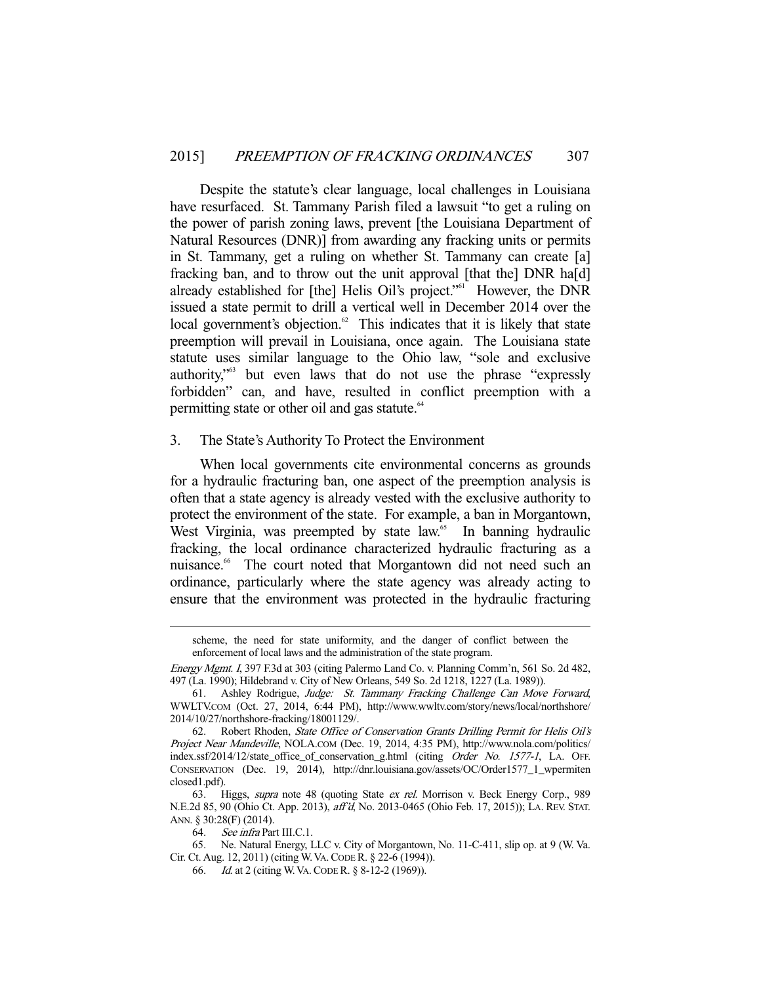Despite the statute's clear language, local challenges in Louisiana have resurfaced. St. Tammany Parish filed a lawsuit "to get a ruling on the power of parish zoning laws, prevent [the Louisiana Department of Natural Resources (DNR)] from awarding any fracking units or permits in St. Tammany, get a ruling on whether St. Tammany can create [a] fracking ban, and to throw out the unit approval [that the] DNR ha[d] already established for [the] Helis Oil's project."<sup>61</sup> However, the DNR issued a state permit to drill a vertical well in December 2014 over the local government's objection. $62$  This indicates that it is likely that state preemption will prevail in Louisiana, once again. The Louisiana state statute uses similar language to the Ohio law, "sole and exclusive authority,"63 but even laws that do not use the phrase "expressly forbidden" can, and have, resulted in conflict preemption with a permitting state or other oil and gas statute.<sup>64</sup>

#### 3. The State's Authority To Protect the Environment

 When local governments cite environmental concerns as grounds for a hydraulic fracturing ban, one aspect of the preemption analysis is often that a state agency is already vested with the exclusive authority to protect the environment of the state. For example, a ban in Morgantown, West Virginia, was preempted by state law.<sup>65</sup> In banning hydraulic fracking, the local ordinance characterized hydraulic fracturing as a nuisance.<sup>66</sup> The court noted that Morgantown did not need such an ordinance, particularly where the state agency was already acting to ensure that the environment was protected in the hydraulic fracturing

scheme, the need for state uniformity, and the danger of conflict between the enforcement of local laws and the administration of the state program.

Energy Mgmt. I, 397 F.3d at 303 (citing Palermo Land Co. v. Planning Comm'n, 561 So. 2d 482, 497 (La. 1990); Hildebrand v. City of New Orleans, 549 So. 2d 1218, 1227 (La. 1989)).

 <sup>61.</sup> Ashley Rodrigue, Judge: St. Tammany Fracking Challenge Can Move Forward, WWLTV.COM (Oct. 27, 2014, 6:44 PM), http://www.wwltv.com/story/news/local/northshore/ 2014/10/27/northshore-fracking/18001129/.

 <sup>62.</sup> Robert Rhoden, State Office of Conservation Grants Drilling Permit for Helis Oil's Project Near Mandeville, NOLA.COM (Dec. 19, 2014, 4:35 PM), http://www.nola.com/politics/ index.ssf/2014/12/state\_office\_of\_conservation\_g.html (citing Order No. 1577-1, LA. OFF. CONSERVATION (Dec. 19, 2014), http://dnr.louisiana.gov/assets/OC/Order1577\_1\_wpermiten closed1.pdf).

 <sup>63.</sup> Higgs, supra note 48 (quoting State ex rel. Morrison v. Beck Energy Corp., 989 N.E.2d 85, 90 (Ohio Ct. App. 2013), aff'd, No. 2013-0465 (Ohio Feb. 17, 2015)); LA. REV. STAT. ANN. § 30:28(F) (2014).

 <sup>64.</sup> See infra Part III.C.1.

 <sup>65.</sup> Ne. Natural Energy, LLC v. City of Morgantown, No. 11-C-411, slip op. at 9 (W. Va. Cir. Ct. Aug. 12, 2011) (citing W.VA.CODE R. § 22-6 (1994)).

 <sup>66.</sup> Id. at 2 (citing W.VA.CODE R. § 8-12-2 (1969)).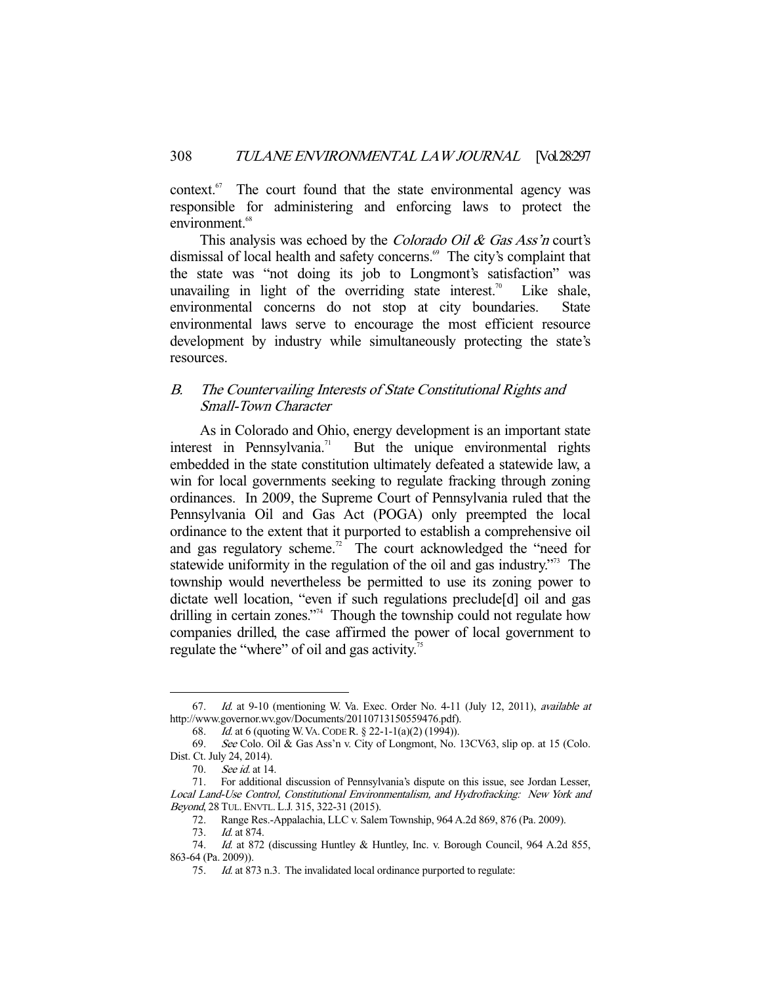context.67 The court found that the state environmental agency was responsible for administering and enforcing laws to protect the environment.<sup>68</sup>

This analysis was echoed by the *Colorado Oil & Gas Ass'n* court's dismissal of local health and safety concerns.<sup>69</sup> The city's complaint that the state was "not doing its job to Longmont's satisfaction" was unavailing in light of the overriding state interest.<sup>70</sup> Like shale, environmental concerns do not stop at city boundaries. State environmental laws serve to encourage the most efficient resource development by industry while simultaneously protecting the state's resources.

### B. The Countervailing Interests of State Constitutional Rights and Small-Town Character

 As in Colorado and Ohio, energy development is an important state interest in Pennsylvania.<sup>71</sup> But the unique environmental rights embedded in the state constitution ultimately defeated a statewide law, a win for local governments seeking to regulate fracking through zoning ordinances. In 2009, the Supreme Court of Pennsylvania ruled that the Pennsylvania Oil and Gas Act (POGA) only preempted the local ordinance to the extent that it purported to establish a comprehensive oil and gas regulatory scheme.<sup>72</sup> The court acknowledged the "need for statewide uniformity in the regulation of the oil and gas industry."<sup>3</sup> The township would nevertheless be permitted to use its zoning power to dictate well location, "even if such regulations preclude[d] oil and gas drilling in certain zones."<sup>74</sup> Though the township could not regulate how companies drilled, the case affirmed the power of local government to regulate the "where" of oil and gas activity.<sup>75</sup>

<sup>67.</sup> Id. at 9-10 (mentioning W. Va. Exec. Order No. 4-11 (July 12, 2011), *available at* http://www.governor.wv.gov/Documents/20110713150559476.pdf).

 <sup>68.</sup> Id. at 6 (quoting W.VA.CODE R. § 22-1-1(a)(2) (1994)).

 <sup>69.</sup> See Colo. Oil & Gas Ass'n v. City of Longmont, No. 13CV63, slip op. at 15 (Colo. Dist. Ct. July 24, 2014).

 <sup>70.</sup> See id. at 14.

 <sup>71.</sup> For additional discussion of Pennsylvania's dispute on this issue, see Jordan Lesser, Local Land-Use Control, Constitutional Environmentalism, and Hydrofracking: New York and Beyond, 28 TUL. ENVTL. L.J. 315, 322-31 (2015).

 <sup>72.</sup> Range Res.-Appalachia, LLC v. Salem Township, 964 A.2d 869, 876 (Pa. 2009).

 <sup>73.</sup> Id. at 874.

<sup>74.</sup> Id. at 872 (discussing Huntley & Huntley, Inc. v. Borough Council, 964 A.2d 855, 863-64 (Pa. 2009)).

 <sup>75.</sup> Id. at 873 n.3. The invalidated local ordinance purported to regulate: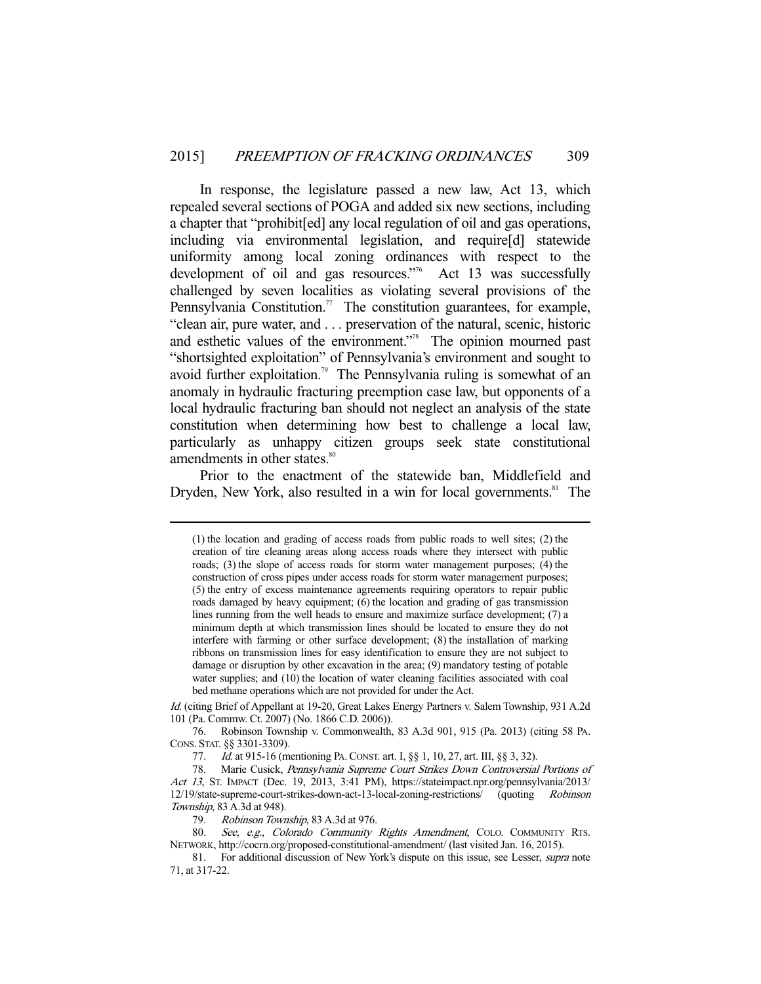In response, the legislature passed a new law, Act 13, which repealed several sections of POGA and added six new sections, including a chapter that "prohibit[ed] any local regulation of oil and gas operations, including via environmental legislation, and require[d] statewide uniformity among local zoning ordinances with respect to the development of oil and gas resources."<sup>6</sup> Act 13 was successfully challenged by seven localities as violating several provisions of the Pennsylvania Constitution.<sup>77</sup> The constitution guarantees, for example, "clean air, pure water, and . . . preservation of the natural, scenic, historic and esthetic values of the environment."78 The opinion mourned past "shortsighted exploitation" of Pennsylvania's environment and sought to avoid further exploitation.<sup>79</sup> The Pennsylvania ruling is somewhat of an anomaly in hydraulic fracturing preemption case law, but opponents of a local hydraulic fracturing ban should not neglect an analysis of the state constitution when determining how best to challenge a local law, particularly as unhappy citizen groups seek state constitutional amendments in other states.<sup>80</sup>

 Prior to the enactment of the statewide ban, Middlefield and Dryden, New York, also resulted in a win for local governments.<sup>81</sup> The

<sup>(1)</sup> the location and grading of access roads from public roads to well sites; (2) the creation of tire cleaning areas along access roads where they intersect with public roads; (3) the slope of access roads for storm water management purposes; (4) the construction of cross pipes under access roads for storm water management purposes; (5) the entry of excess maintenance agreements requiring operators to repair public roads damaged by heavy equipment; (6) the location and grading of gas transmission lines running from the well heads to ensure and maximize surface development; (7) a minimum depth at which transmission lines should be located to ensure they do not interfere with farming or other surface development; (8) the installation of marking ribbons on transmission lines for easy identification to ensure they are not subject to damage or disruption by other excavation in the area; (9) mandatory testing of potable water supplies; and (10) the location of water cleaning facilities associated with coal bed methane operations which are not provided for under the Act.

Id. (citing Brief of Appellant at 19-20, Great Lakes Energy Partners v. Salem Township, 931 A.2d 101 (Pa. Commw. Ct. 2007) (No. 1866 C.D. 2006)).

 <sup>76.</sup> Robinson Township v. Commonwealth, 83 A.3d 901, 915 (Pa. 2013) (citing 58 PA. CONS. STAT. §§ 3301-3309).

<sup>77.</sup> *Id.* at 915-16 (mentioning PA. CONST. art. I, §§ 1, 10, 27, art. III, §§ 3, 32).

 <sup>78.</sup> Marie Cusick, Pennsylvania Supreme Court Strikes Down Controversial Portions of Act 13, ST. IMPACT (Dec. 19, 2013, 3:41 PM), https://stateimpact.npr.org/pennsylvania/2013/ 12/19/state-supreme-court-strikes-down-act-13-local-zoning-restrictions/ (quoting Robinson Township, 83 A.3d at 948).

<sup>79.</sup> Robinson Township, 83 A.3d at 976.

<sup>80.</sup> See, e.g., Colorado Community Rights Amendment, COLO. COMMUNITY RTS. NETWORK, http://cocrn.org/proposed-constitutional-amendment/ (last visited Jan. 16, 2015).

<sup>81.</sup> For additional discussion of New York's dispute on this issue, see Lesser, *supra* note 71, at 317-22.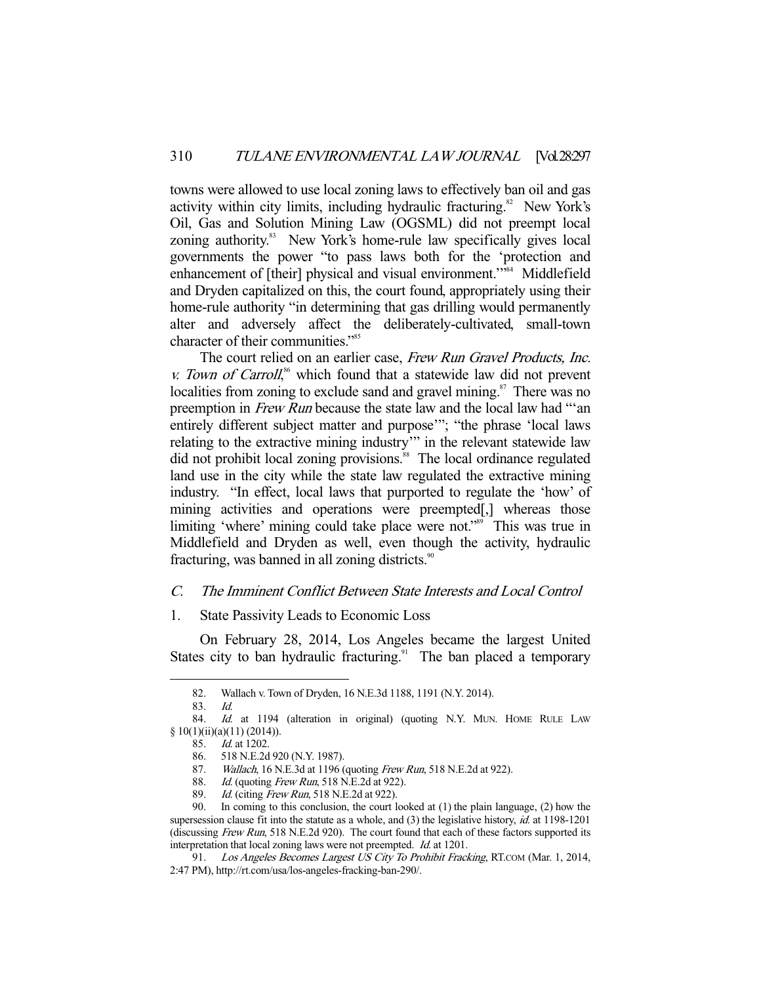towns were allowed to use local zoning laws to effectively ban oil and gas activity within city limits, including hydraulic fracturing.<sup>82</sup> New York's Oil, Gas and Solution Mining Law (OGSML) did not preempt local zoning authority.<sup>83</sup> New York's home-rule law specifically gives local governments the power "to pass laws both for the 'protection and enhancement of [their] physical and visual environment."<sup>84</sup> Middlefield and Dryden capitalized on this, the court found, appropriately using their home-rule authority "in determining that gas drilling would permanently alter and adversely affect the deliberately-cultivated, small-town character of their communities."85

The court relied on an earlier case, Frew Run Gravel Products, Inc. v. Town of Carroll,<sup>86</sup> which found that a statewide law did not prevent localities from zoning to exclude sand and gravel mining.<sup>87</sup> There was no preemption in Frew Run because the state law and the local law had "'an entirely different subject matter and purpose'"; "the phrase 'local laws relating to the extractive mining industry'" in the relevant statewide law did not prohibit local zoning provisions.<sup>88</sup> The local ordinance regulated land use in the city while the state law regulated the extractive mining industry. "In effect, local laws that purported to regulate the 'how' of mining activities and operations were preempted[,] whereas those limiting 'where' mining could take place were not."<sup>89</sup> This was true in Middlefield and Dryden as well, even though the activity, hydraulic fracturing, was banned in all zoning districts. $\frac{90}{100}$ 

#### C. The Imminent Conflict Between State Interests and Local Control

#### 1. State Passivity Leads to Economic Loss

 On February 28, 2014, Los Angeles became the largest United States city to ban hydraulic fracturing.<sup>91</sup> The ban placed a temporary

 <sup>82.</sup> Wallach v. Town of Dryden, 16 N.E.3d 1188, 1191 (N.Y. 2014).

 <sup>83.</sup> Id.

<sup>84.</sup> Id. at 1194 (alteration in original) (quoting N.Y. MUN. HOME RULE LAW § 10(1)(ii)(a)(11) (2014)).

 <sup>85.</sup> Id. at 1202.

 <sup>86. 518</sup> N.E.2d 920 (N.Y. 1987).

<sup>87.</sup> *Wallach*, 16 N.E.3d at 1196 (quoting *Frew Run*, 518 N.E.2d at 922).

<sup>88.</sup> *Id.* (quoting *Frew Run*, 518 N.E.2d at 922).<br>89. *Id.* (citing *Frew Run*, 518 N.E.2d at 922).

*Id.* (citing *Frew Run*, 518 N.E.2d at 922).

 <sup>90.</sup> In coming to this conclusion, the court looked at (1) the plain language, (2) how the supersession clause fit into the statute as a whole, and  $(3)$  the legislative history, *id.* at 1198-1201 (discussing Frew Run, 518 N.E.2d 920). The court found that each of these factors supported its interpretation that local zoning laws were not preempted. Id. at 1201.

<sup>91.</sup> Los Angeles Becomes Largest US City To Prohibit Fracking, RT.COM (Mar. 1, 2014, 2:47 PM), http://rt.com/usa/los-angeles-fracking-ban-290/.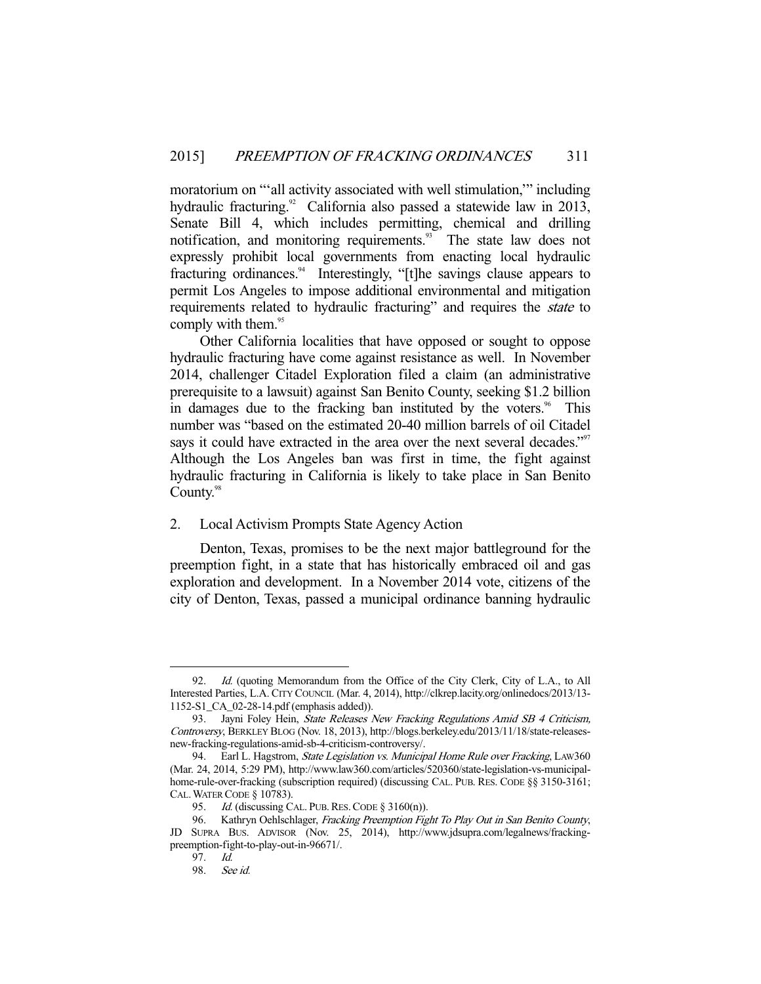moratorium on "'all activity associated with well stimulation,'" including hydraulic fracturing.<sup>92</sup> California also passed a statewide law in 2013, Senate Bill 4, which includes permitting, chemical and drilling notification, and monitoring requirements.<sup>93</sup> The state law does not expressly prohibit local governments from enacting local hydraulic fracturing ordinances.<sup>94</sup> Interestingly, "[t]he savings clause appears to permit Los Angeles to impose additional environmental and mitigation requirements related to hydraulic fracturing" and requires the *state* to comply with them.<sup>95</sup>

 Other California localities that have opposed or sought to oppose hydraulic fracturing have come against resistance as well. In November 2014, challenger Citadel Exploration filed a claim (an administrative prerequisite to a lawsuit) against San Benito County, seeking \$1.2 billion in damages due to the fracking ban instituted by the voters.<sup>96</sup> This number was "based on the estimated 20-40 million barrels of oil Citadel says it could have extracted in the area over the next several decades."<sup>97</sup> Although the Los Angeles ban was first in time, the fight against hydraulic fracturing in California is likely to take place in San Benito County.<sup>98</sup>

#### 2. Local Activism Prompts State Agency Action

 Denton, Texas, promises to be the next major battleground for the preemption fight, in a state that has historically embraced oil and gas exploration and development. In a November 2014 vote, citizens of the city of Denton, Texas, passed a municipal ordinance banning hydraulic

<sup>92.</sup> *Id.* (quoting Memorandum from the Office of the City Clerk, City of L.A., to All Interested Parties, L.A. CITY COUNCIL (Mar. 4, 2014), http://clkrep.lacity.org/onlinedocs/2013/13- 1152-S1\_CA\_02-28-14.pdf (emphasis added)).

<sup>93.</sup> Jayni Foley Hein, State Releases New Fracking Regulations Amid SB 4 Criticism, Controversy, BERKLEY BLOG (Nov. 18, 2013), http://blogs.berkeley.edu/2013/11/18/state-releasesnew-fracking-regulations-amid-sb-4-criticism-controversy/.

<sup>94.</sup> Earl L. Hagstrom, State Legislation vs. Municipal Home Rule over Fracking, LAW360 (Mar. 24, 2014, 5:29 PM), http://www.law360.com/articles/520360/state-legislation-vs-municipalhome-rule-over-fracking (subscription required) (discussing CAL. PUB. RES. CODE §§ 3150-3161; CAL.WATER CODE § 10783).

<sup>95.</sup> Id. (discussing CAL. PUB. RES. CODE  $\S$  3160(n)).

<sup>96.</sup> Kathryn Oehlschlager, Fracking Preemption Fight To Play Out in San Benito County, JD SUPRA BUS. ADVISOR (Nov. 25, 2014), http://www.jdsupra.com/legalnews/frackingpreemption-fight-to-play-out-in-96671/.

 <sup>97.</sup> Id.

 <sup>98.</sup> See id.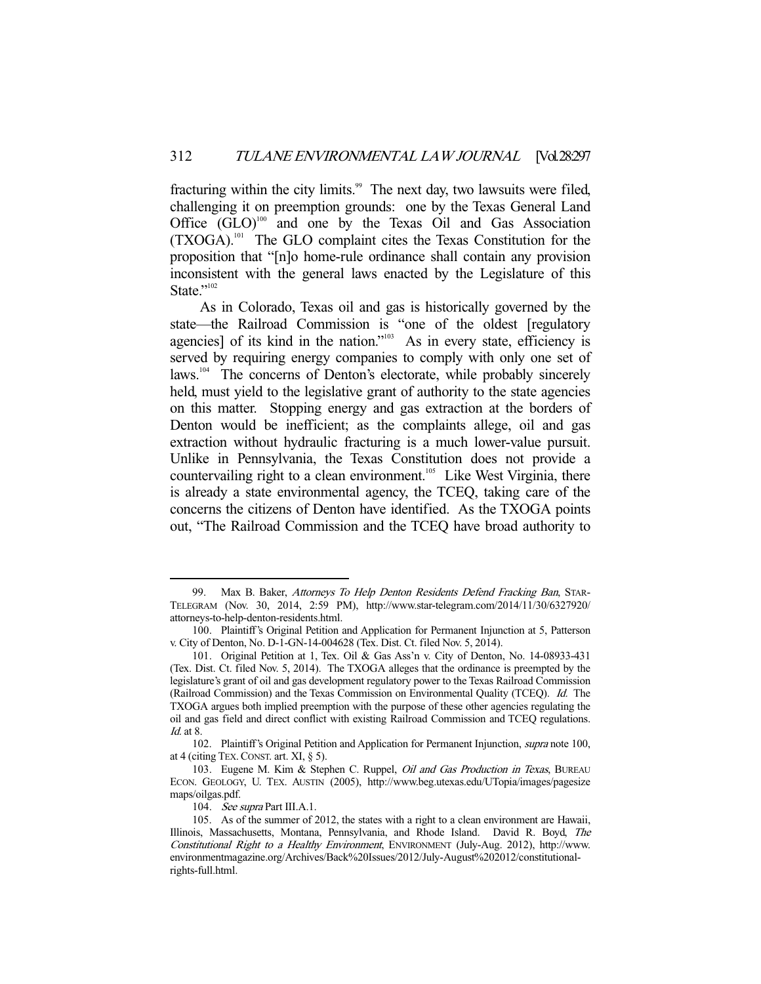fracturing within the city limits.<sup>99</sup> The next day, two lawsuits were filed, challenging it on preemption grounds: one by the Texas General Land Office  $(GLO)^{100}$  and one by the Texas Oil and Gas Association (TXOGA).101 The GLO complaint cites the Texas Constitution for the proposition that "[n]o home-rule ordinance shall contain any provision inconsistent with the general laws enacted by the Legislature of this State."102

 As in Colorado, Texas oil and gas is historically governed by the state—the Railroad Commission is "one of the oldest [regulatory agencies] of its kind in the nation."<sup>103</sup> As in every state, efficiency is served by requiring energy companies to comply with only one set of laws.<sup>104</sup> The concerns of Denton's electorate, while probably sincerely held, must yield to the legislative grant of authority to the state agencies on this matter. Stopping energy and gas extraction at the borders of Denton would be inefficient; as the complaints allege, oil and gas extraction without hydraulic fracturing is a much lower-value pursuit. Unlike in Pennsylvania, the Texas Constitution does not provide a countervailing right to a clean environment.<sup>105</sup> Like West Virginia, there is already a state environmental agency, the TCEQ, taking care of the concerns the citizens of Denton have identified. As the TXOGA points out, "The Railroad Commission and the TCEQ have broad authority to

<sup>99.</sup> Max B. Baker, Attorneys To Help Denton Residents Defend Fracking Ban, STAR-TELEGRAM (Nov. 30, 2014, 2:59 PM), http://www.star-telegram.com/2014/11/30/6327920/ attorneys-to-help-denton-residents.html.

 <sup>100.</sup> Plaintiff's Original Petition and Application for Permanent Injunction at 5, Patterson v. City of Denton, No. D-1-GN-14-004628 (Tex. Dist. Ct. filed Nov. 5, 2014).

 <sup>101.</sup> Original Petition at 1, Tex. Oil & Gas Ass'n v. City of Denton, No. 14-08933-431 (Tex. Dist. Ct. filed Nov. 5, 2014). The TXOGA alleges that the ordinance is preempted by the legislature's grant of oil and gas development regulatory power to the Texas Railroad Commission (Railroad Commission) and the Texas Commission on Environmental Quality (TCEQ). Id. The TXOGA argues both implied preemption with the purpose of these other agencies regulating the oil and gas field and direct conflict with existing Railroad Commission and TCEQ regulations. Id. at 8.

<sup>102.</sup> Plaintiff's Original Petition and Application for Permanent Injunction, *supra* note 100, at 4 (citing TEX.CONST. art. XI, § 5).

<sup>103.</sup> Eugene M. Kim & Stephen C. Ruppel, *Oil and Gas Production in Texas*, BUREAU ECON. GEOLOGY, U. TEX. AUSTIN (2005), http://www.beg.utexas.edu/UTopia/images/pagesize maps/oilgas.pdf.

<sup>104.</sup> See supra Part III.A.1.

 <sup>105.</sup> As of the summer of 2012, the states with a right to a clean environment are Hawaii, Illinois, Massachusetts, Montana, Pennsylvania, and Rhode Island. David R. Boyd, The Constitutional Right to a Healthy Environment, ENVIRONMENT (July-Aug. 2012), http://www. environmentmagazine.org/Archives/Back%20Issues/2012/July-August%202012/constitutionalrights-full.html.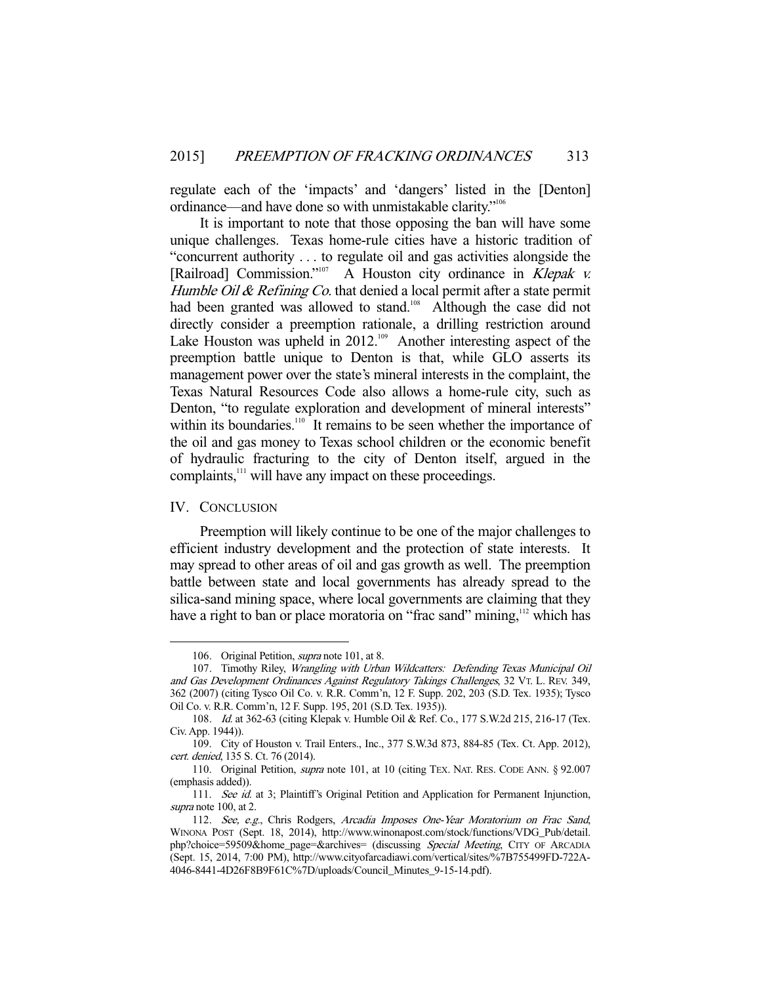regulate each of the 'impacts' and 'dangers' listed in the [Denton] ordinance—and have done so with unmistakable clarity."106

 It is important to note that those opposing the ban will have some unique challenges. Texas home-rule cities have a historic tradition of "concurrent authority . . . to regulate oil and gas activities alongside the [Railroad] Commission."<sup>107</sup> A Houston city ordinance in *Klepak v.* Humble Oil  $\&$  Refining Co. that denied a local permit after a state permit had been granted was allowed to stand.<sup>108</sup> Although the case did not directly consider a preemption rationale, a drilling restriction around Lake Houston was upheld in 2012.<sup>109</sup> Another interesting aspect of the preemption battle unique to Denton is that, while GLO asserts its management power over the state's mineral interests in the complaint, the Texas Natural Resources Code also allows a home-rule city, such as Denton, "to regulate exploration and development of mineral interests" within its boundaries.<sup>110</sup> It remains to be seen whether the importance of the oil and gas money to Texas school children or the economic benefit of hydraulic fracturing to the city of Denton itself, argued in the complaints,<sup>111</sup> will have any impact on these proceedings.

#### IV. CONCLUSION

-

 Preemption will likely continue to be one of the major challenges to efficient industry development and the protection of state interests. It may spread to other areas of oil and gas growth as well. The preemption battle between state and local governments has already spread to the silica-sand mining space, where local governments are claiming that they have a right to ban or place moratoria on "frac sand" mining,<sup>112</sup> which has

 <sup>106.</sup> Original Petition, supra note 101, at 8.

<sup>107.</sup> Timothy Riley, Wrangling with Urban Wildcatters: Defending Texas Municipal Oil and Gas Development Ordinances Against Regulatory Takings Challenges, 32 VT. L. REV. 349, 362 (2007) (citing Tysco Oil Co. v. R.R. Comm'n, 12 F. Supp. 202, 203 (S.D. Tex. 1935); Tysco Oil Co. v. R.R. Comm'n, 12 F. Supp. 195, 201 (S.D. Tex. 1935)).

 <sup>108.</sup> Id. at 362-63 (citing Klepak v. Humble Oil & Ref. Co., 177 S.W.2d 215, 216-17 (Tex. Civ. App. 1944)).

 <sup>109.</sup> City of Houston v. Trail Enters., Inc., 377 S.W.3d 873, 884-85 (Tex. Ct. App. 2012), cert. denied, 135 S. Ct. 76 (2014).

 <sup>110.</sup> Original Petition, supra note 101, at 10 (citing TEX. NAT. RES. CODE ANN. § 92.007 (emphasis added)).

<sup>111.</sup> See id. at 3; Plaintiff's Original Petition and Application for Permanent Injunction, supra note 100, at 2.

<sup>112.</sup> See, e.g., Chris Rodgers, Arcadia Imposes One-Year Moratorium on Frac Sand, WINONA POST (Sept. 18, 2014), http://www.winonapost.com/stock/functions/VDG\_Pub/detail. php?choice=59509&home\_page=&archives= (discussing Special Meeting, CITY OF ARCADIA (Sept. 15, 2014, 7:00 PM), http://www.cityofarcadiawi.com/vertical/sites/%7B755499FD-722A-4046-8441-4D26F8B9F61C%7D/uploads/Council\_Minutes\_9-15-14.pdf).